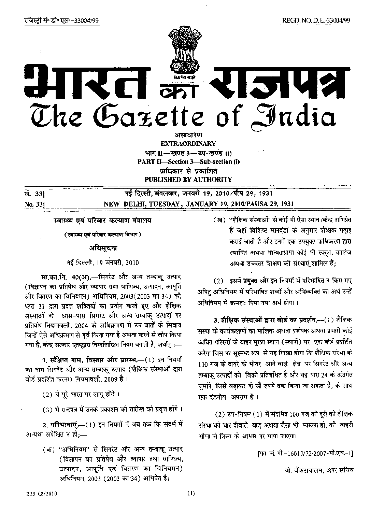सं. 33)

No. 33]



# $\sqrt{C}$  and **THE R** The Gazette of India

असाधारण **EXTRAORDINARY** भाग II-खण्ड 3-डप-खण्ड (i) **PART II-Section 3-Sub-section (i)** प्राधिकार से प्रकाशित **PUBLISHED BY AUTHORITY** 

नई दिल्ली, मंगलवार, जनवरी 19, 2010/पौष 29, 1931 NEW DELHI, TUESDAY, JANUARY 19, 2010/PAUSA 29, 1931

स्वास्थ्य एवं परिवार कल्याण मंत्रालय

(स्वास्थ्य एवं परिवार कल्याण विभाग)

#### अधिसूचना

## नई दिल्ली, 19 जनवरी, 2010

सा.का.नि. 40(अ),—सिगरेट और अन्य तम्बाकू उत्पाद (विज्ञापन का प्रतिषेध और व्यापार तथा वाणिज्य, उत्पादन, आपूर्ति और वितरण का विनियमन) अधिनियम, 2003(2003 का 34) की धारा 31 द्वारा प्रदत्त शक्तियों का प्रयोग करते हुए और शैक्षिक संस्थाओं के आस-पास सिगरेट और अन्य तम्बाकू उत्पादों पर प्रतिबंध नियमावली. 2004 के अधिक्रमण में उन बातों के सिवाय जिन्हें ऐसे अधिक्रमण से पूर्व किया गया है अथवा करने से लोप किया गया है, केन्द्र सरकार एतद्व्यारा निम्नलिखित नियम बनाती है, अर्थात् :--

1. संक्षिप्त नाम, विस्तार और प्रारम्भ.- (1) इन नियमों का नाम सिगरेट और अन्य तम्बाकू उत्पाद (शैक्षिक संस्थाओं द्वारा बोर्ड प्रदर्शित करना) नियमावली, 2009 है।

(2) ये पूरे भारत पर लागू होंगे।

(3) ये राजपत्र में उनके प्रकाशन की तारीख को प्रवृत्त होंगे।

2. परिभाषाएं.-- (1) इन नियमों में जब तक कि संदर्भ में अन्यथा अपेक्षित न हो;—

> (क) "अधिनियम" से सिगरेट और अन्य तम्बाकू उत्पाद (विज्ञापन का प्रतिषेध और व्यापार तथा वाणिज्य, उत्पादन, आपूर्ति एवं वितरण का विनियमन) अधिनियम, 2003 (2003 का 34) अभिप्रेत है;

(ख) "शैक्षिक संस्थाओं" से कोई भी ऐसा स्थान /केन्द्र अभिप्रेत हैं जहां विशिष्ट मानदंडों के अनुसार शैक्षिक पढ़ाई कराई जाती है और इनमें एक उपयुक्त प्राधिकरण द्वारा स्थापित अथवा मान्यताप्राप्त कोई भी स्कूल, कालेज अथवा उच्चतर शिक्षण की संस्थाएं शामिल हैं;

(2) इसमें प्रयुक्त और इन नियमों में परिभाषित न किए गए अपित अधिनियम में परिभाषित शब्दों और अभिव्यक्ति का अर्थ उन्हें अधिनियम में कमश: दिया गया अर्थ होगा ।

3. शैक्षिक संस्थाओं द्वारा बोर्ड का प्रदर्शन.---(1) शैक्षिक संस्था के कार्यकलापों का मालिक अथवा प्रबंधक अथवा प्रभारी कोई व्यक्ति परिसरों के बाहर मुख्य स्थान (स्थानों) पर एक बोर्ड प्रदर्शित करेगा जिस पर सुस्पष्ट रूप से यह लिखा होगा कि शैक्षिक संस्था के 100 गज के दायरे के भीतर आने वाले क्षेत्र पर सिगरेट और अन्य तम्बाक उत्पादों की बिक्री प्रतिबंधित है और यह धारा 24 के अंतर्गत जुर्माने, जिसे बढ़ाकर दो सौ रुपये तक किया जा सकता है, के साथ एक दंडनीय अपराध है।

(2) उप-नियम (1) में संदर्भित 100 गज की दूरी को शैक्षिक संस्था की चार दीवारी बाड अथवा जैसा भी मामला हो, की बाहरी सीमा से त्रिज्य के आधार पर मापा जाएगा।

[फा. सं. पी.-16017/72/2007-पी.एच.-1]

. वी. वेंकटाचालम, अपर सचिव